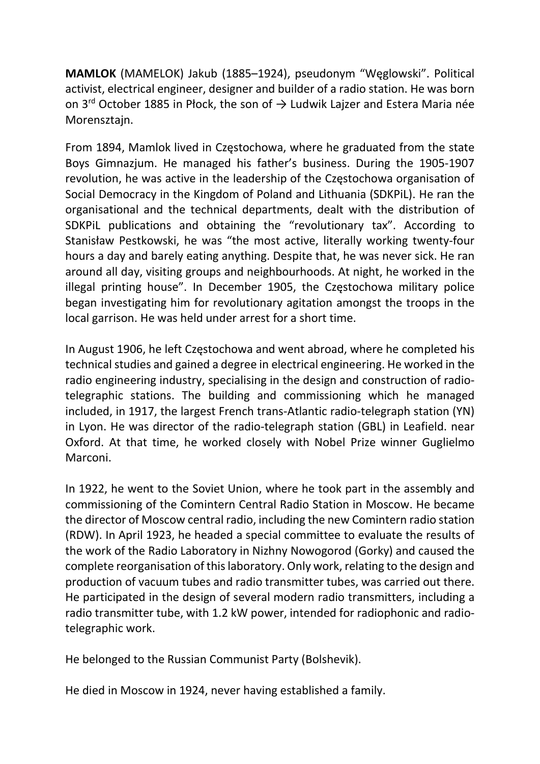MAMLOK (MAMELOK) Jakub (1885–1924), pseudonym "Węglowski". Political activist, electrical engineer, designer and builder of a radio station. He was born on 3<sup>rd</sup> October 1885 in Płock, the son of  $\rightarrow$  Ludwik Lajzer and Estera Maria née Morensztajn.

From 1894, Mamlok lived in Częstochowa, where he graduated from the state Boys Gimnazjum. He managed his father's business. During the 1905-1907 revolution, he was active in the leadership of the Częstochowa organisation of Social Democracy in the Kingdom of Poland and Lithuania (SDKPiL). He ran the organisational and the technical departments, dealt with the distribution of SDKPiL publications and obtaining the "revolutionary tax". According to Stanisław Pestkowski, he was "the most active, literally working twenty-four hours a day and barely eating anything. Despite that, he was never sick. He ran around all day, visiting groups and neighbourhoods. At night, he worked in the illegal printing house". In December 1905, the Częstochowa military police began investigating him for revolutionary agitation amongst the troops in the local garrison. He was held under arrest for a short time.

In August 1906, he left Częstochowa and went abroad, where he completed his technical studies and gained a degree in electrical engineering. He worked in the radio engineering industry, specialising in the design and construction of radiotelegraphic stations. The building and commissioning which he managed included, in 1917, the largest French trans-Atlantic radio-telegraph station (YN) in Lyon. He was director of the radio-telegraph station (GBL) in Leafield. near Oxford. At that time, he worked closely with Nobel Prize winner Guglielmo Marconi.

In 1922, he went to the Soviet Union, where he took part in the assembly and commissioning of the Comintern Central Radio Station in Moscow. He became the director of Moscow central radio, including the new Comintern radio station (RDW). In April 1923, he headed a special committee to evaluate the results of the work of the Radio Laboratory in Nizhny Nowogorod (Gorky) and caused the complete reorganisation of this laboratory. Only work, relating to the design and production of vacuum tubes and radio transmitter tubes, was carried out there. He participated in the design of several modern radio transmitters, including a radio transmitter tube, with 1.2 kW power, intended for radiophonic and radiotelegraphic work.

He belonged to the Russian Communist Party (Bolshevik).

He died in Moscow in 1924, never having established a family.